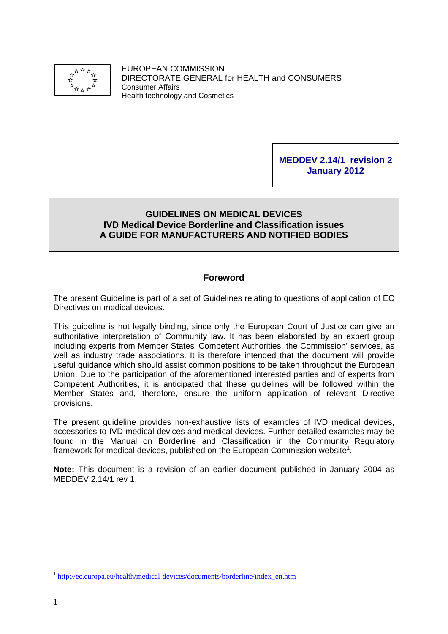

EUROPEAN COMMISSION DIRECTORATE GENERAL for HEALTH and CONSUMERS Consumer Affairs Health technology and Cosmetics

## **MEDDEV 2.14/1 revision 2 January 2012**

## **GUIDELINES ON MEDICAL DEVICES IVD Medical Device Borderline and Classification issues A GUIDE FOR MANUFACTURERS AND NOTIFIED BODIES**

## **Foreword**

The present Guideline is part of a set of Guidelines relating to questions of application of EC Directives on medical devices.

This guideline is not legally binding, since only the European Court of Justice can give an authoritative interpretation of Community law. It has been elaborated by an expert group including experts from Member States' Competent Authorities, the Commission' services, as well as industry trade associations. It is therefore intended that the document will provide useful guidance which should assist common positions to be taken throughout the European Union. Due to the participation of the aforementioned interested parties and of experts from Competent Authorities, it is anticipated that these guidelines will be followed within the Member States and, therefore, ensure the uniform application of relevant Directive provisions.

The present guideline provides non-exhaustive lists of examples of IVD medical devices, accessories to IVD medical devices and medical devices. Further detailed examples may be found in the Manual on Borderline and Classification in the Community Regulatory framework for medical devices, published on the European Commission website<sup>1</sup>.

**Note:** This document is a revision of an earlier document published in January 2004 as MEDDEV 2.14/1 rev 1.

1

<sup>1</sup> [http://ec.europa.eu/health/medical-devices/documents/borderline/index\\_en.htm](http://ec.europa.eu/growth/sectors/medical-devices/specific-areas-development/index_en.htm#borderline)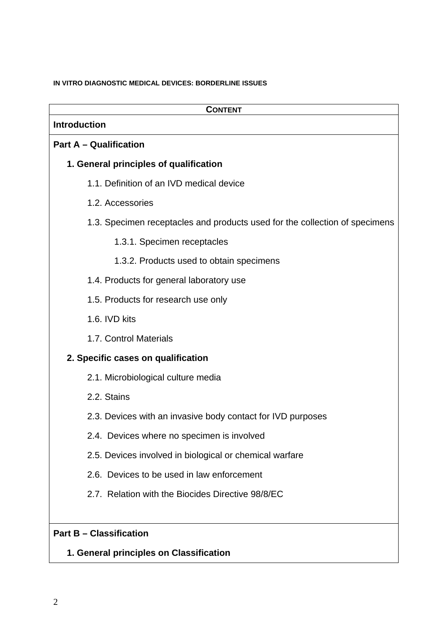#### **IN VITRO DIAGNOSTIC MEDICAL DEVICES: BORDERLINE ISSUES**

| <b>CONTENT</b>                                                              |
|-----------------------------------------------------------------------------|
| <b>Introduction</b>                                                         |
| <b>Part A - Qualification</b>                                               |
| 1. General principles of qualification                                      |
| 1.1. Definition of an IVD medical device                                    |
| 1.2. Accessories                                                            |
| 1.3. Specimen receptacles and products used for the collection of specimens |
| 1.3.1. Specimen receptacles                                                 |
| 1.3.2. Products used to obtain specimens                                    |
| 1.4. Products for general laboratory use                                    |
| 1.5. Products for research use only                                         |
| 1.6. IVD kits                                                               |
| 1.7. Control Materials                                                      |
| 2. Specific cases on qualification                                          |
| 2.1. Microbiological culture media                                          |
| 2.2. Stains                                                                 |
| 2.3. Devices with an invasive body contact for IVD purposes                 |
| 2.4. Devices where no specimen is involved                                  |
| 2.5. Devices involved in biological or chemical warfare                     |
| 2.6. Devices to be used in law enforcement                                  |
| 2.7. Relation with the Biocides Directive 98/8/EC                           |
|                                                                             |
| <b>Part B - Classification</b>                                              |

# **1. General principles on Classification**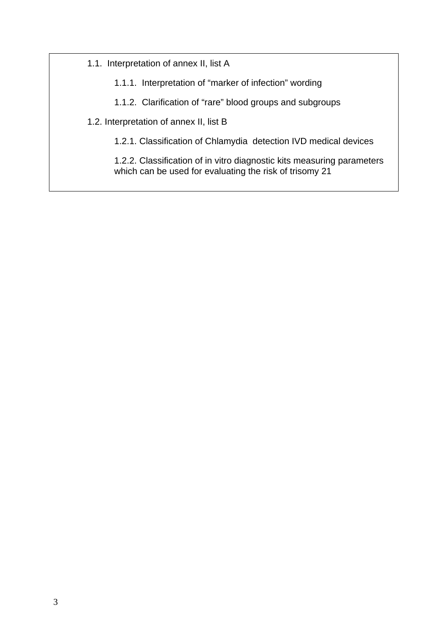1.1. Interpretation of annex II, list A

1.1.1. Interpretation of "marker of infection" wording

1.1.2. Clarification of "rare" blood groups and subgroups

1.2. Interpretation of annex II, list B

1.2.1. Classification of Chlamydia detection IVD medical devices

1.2.2. Classification of in vitro diagnostic kits measuring parameters which can be used for evaluating the risk of trisomy 21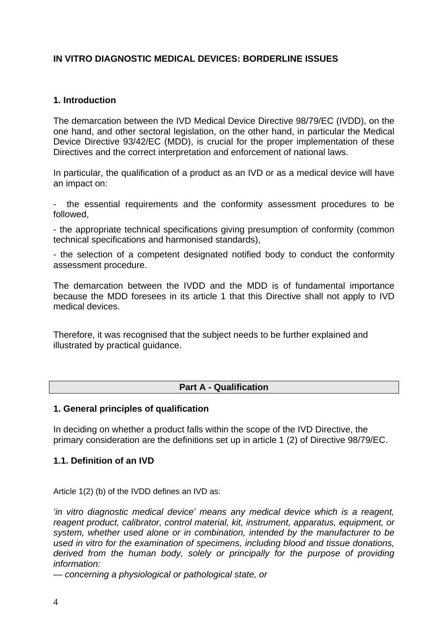## **IN VITRO DIAGNOSTIC MEDICAL DEVICES: BORDERLINE ISSUES**

#### **1. Introduction**

The demarcation between the IVD Medical Device Directive 98/79/EC (IVDD), on the one hand, and other sectoral legislation, on the other hand, in particular the Medical Device Directive 93/42/EC (MDD), is crucial for the proper implementation of these Directives and the correct interpretation and enforcement of national laws.

In particular, the qualification of a product as an IVD or as a medical device will have an impact on:

the essential requirements and the conformity assessment procedures to be followed,

- the appropriate technical specifications giving presumption of conformity (common technical specifications and harmonised standards),

- the selection of a competent designated notified body to conduct the conformity assessment procedure.

The demarcation between the IVDD and the MDD is of fundamental importance because the MDD foresees in its article 1 that this Directive shall not apply to IVD medical devices.

Therefore, it was recognised that the subject needs to be further explained and illustrated by practical guidance.

#### **Part A - Qualification**

#### **1. General principles of qualification**

In deciding on whether a product falls within the scope of the IVD Directive, the primary consideration are the definitions set up in article 1 (2) of Directive 98/79/EC.

#### **1.1. Definition of an IVD**

Article 1(2) (b) of the IVDD defines an IVD as:

*'in vitro diagnostic medical device' means any medical device which is a reagent, reagent product, calibrator, control material, kit, instrument, apparatus, equipment, or system, whether used alone or in combination, intended by the manufacturer to be used in vitro for the examination of specimens, including blood and tissue donations, derived from the human body, solely or principally for the purpose of providing information:* 

*— concerning a physiological or pathological state, or*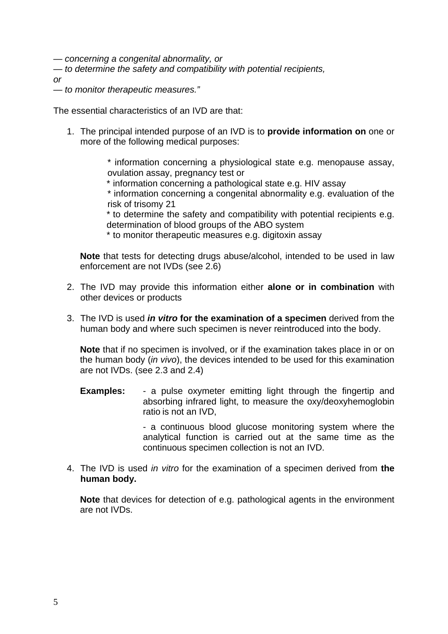*— concerning a congenital abnormality, or* 

*— to determine the safety and compatibility with potential recipients,* 

*or* 

*— to monitor therapeutic measures."* 

The essential characteristics of an IVD are that:

1. The principal intended purpose of an IVD is to **provide information on** one or more of the following medical purposes:

> \* information concerning a physiological state e.g. menopause assay, ovulation assay, pregnancy test or

\* information concerning a pathological state e.g. HIV assay

\* information concerning a congenital abnormality e.g. evaluation of the risk of trisomy 21

\* to determine the safety and compatibility with potential recipients e.g. determination of blood groups of the ABO system

\* to monitor therapeutic measures e.g. digitoxin assay

**Note** that tests for detecting drugs abuse/alcohol, intended to be used in law enforcement are not IVDs (see 2.6)

- 2. The IVD may provide this information either **alone or in combination** with other devices or products
- 3. The IVD is used *in vitro* **for the examination of a specimen** derived from the human body and where such specimen is never reintroduced into the body.

**Note** that if no specimen is involved, or if the examination takes place in or on the human body (*in vivo*), the devices intended to be used for this examination are not IVDs. (see 2.3 and 2.4)

**Examples:** - a pulse oxymeter emitting light through the fingertip and absorbing infrared light, to measure the oxy/deoxyhemoglobin ratio is not an IVD,

> - a continuous blood glucose monitoring system where the analytical function is carried out at the same time as the continuous specimen collection is not an IVD.

4. The IVD is used *in vitro* for the examination of a specimen derived from **the human body.** 

**Note** that devices for detection of e.g. pathological agents in the environment are not IVDs.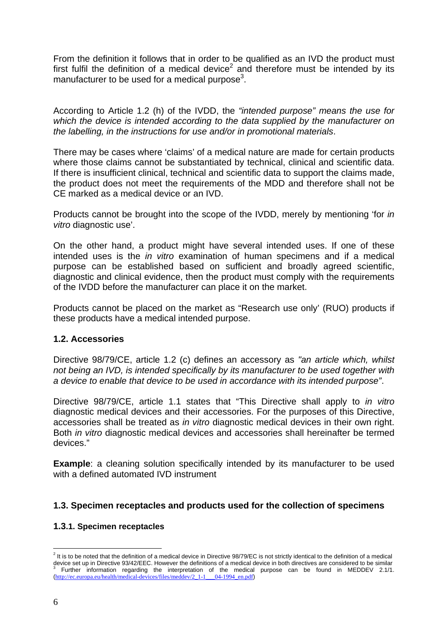From the definition it follows that in order to be qualified as an IVD the product must first fulfil the definition of a medical device<sup>2</sup> and therefore must be intended by its manufacturer to be used for a medical purpose<sup>3</sup>.

According to Article 1.2 (h) of the IVDD, the *"intended purpose" means the use for which the device is intended according to the data supplied by the manufacturer on the labelling, in the instructions for use and/or in promotional materials*.

There may be cases where 'claims' of a medical nature are made for certain products where those claims cannot be substantiated by technical, clinical and scientific data. If there is insufficient clinical, technical and scientific data to support the claims made, the product does not meet the requirements of the MDD and therefore shall not be CE marked as a medical device or an IVD.

Products cannot be brought into the scope of the IVDD, merely by mentioning 'for *in vitro* diagnostic use'.

On the other hand, a product might have several intended uses. If one of these intended uses is the *in vitro* examination of human specimens and if a medical purpose can be established based on sufficient and broadly agreed scientific, diagnostic and clinical evidence, then the product must comply with the requirements of the IVDD before the manufacturer can place it on the market.

Products cannot be placed on the market as "Research use only' (RUO) products if these products have a medical intended purpose.

#### **1.2. Accessories**

Directive 98/79/CE, article 1.2 (c) defines an accessory as *"an article which, whilst not being an IVD, is intended specifically by its manufacturer to be used together with a device to enable that device to be used in accordance with its intended purpose"*.

Directive 98/79/CE, article 1.1 states that "This Directive shall apply to *in vitro*  diagnostic medical devices and their accessories. For the purposes of this Directive, accessories shall be treated as *in vitro* diagnostic medical devices in their own right. Both *in vitro* diagnostic medical devices and accessories shall hereinafter be termed devices."

**Example:** a cleaning solution specifically intended by its manufacturer to be used with a defined automated IVD instrument

## **1.3. Specimen receptacles and products used for the collection of specimens**

#### **1.3.1. Specimen receptacles**

<u>.</u>

 $^2$  It is to be noted that the definition of a medical device in Directive 98/79/EC is not strictly identical to the definition of a medical device set up in Directive 93/42/EEC. However the definitions of a medical device in both directives are considered to be similar 3 Further information regarding the interpretation of the medical purpose can be found in MEDDEV 2.1/1. ([http://ec.europa.eu/health/medical-devices/files/meddev/2\\_1-1\\_\\_\\_04-1994\\_en.pdf](http://ec.europa.eu/health/medical-devices/files/meddev/2_1-1___04-1994_en.pdf))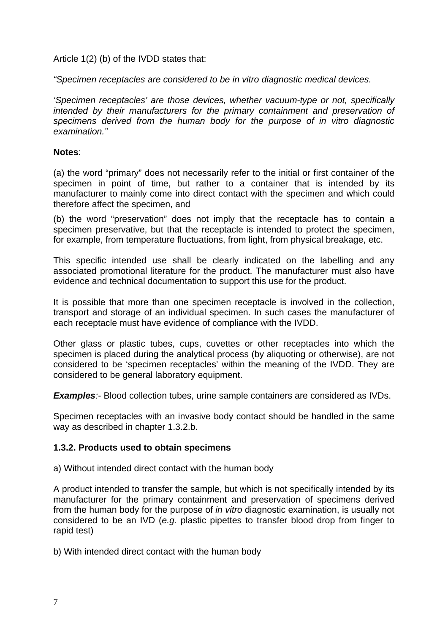Article 1(2) (b) of the IVDD states that:

*"Specimen receptacles are considered to be in vitro diagnostic medical devices.* 

*'Specimen receptacles' are those devices, whether vacuum-type or not, specifically intended by their manufacturers for the primary containment and preservation of specimens derived from the human body for the purpose of in vitro diagnostic examination."* 

#### **Notes**:

(a) the word "primary" does not necessarily refer to the initial or first container of the specimen in point of time, but rather to a container that is intended by its manufacturer to mainly come into direct contact with the specimen and which could therefore affect the specimen, and

(b) the word "preservation" does not imply that the receptacle has to contain a specimen preservative, but that the receptacle is intended to protect the specimen, for example, from temperature fluctuations, from light, from physical breakage, etc.

This specific intended use shall be clearly indicated on the labelling and any associated promotional literature for the product. The manufacturer must also have evidence and technical documentation to support this use for the product.

It is possible that more than one specimen receptacle is involved in the collection, transport and storage of an individual specimen. In such cases the manufacturer of each receptacle must have evidence of compliance with the IVDD.

Other glass or plastic tubes, cups, cuvettes or other receptacles into which the specimen is placed during the analytical process (by aliquoting or otherwise), are not considered to be 'specimen receptacles' within the meaning of the IVDD. They are considered to be general laboratory equipment.

*Examples*:- Blood collection tubes, urine sample containers are considered as IVDs.

Specimen receptacles with an invasive body contact should be handled in the same way as described in chapter 1.3.2.b.

#### **1.3.2. Products used to obtain specimens**

a) Without intended direct contact with the human body

A product intended to transfer the sample, but which is not specifically intended by its manufacturer for the primary containment and preservation of specimens derived from the human body for the purpose of *in vitro* diagnostic examination, is usually not considered to be an IVD (*e.g.* plastic pipettes to transfer blood drop from finger to rapid test)

b) With intended direct contact with the human body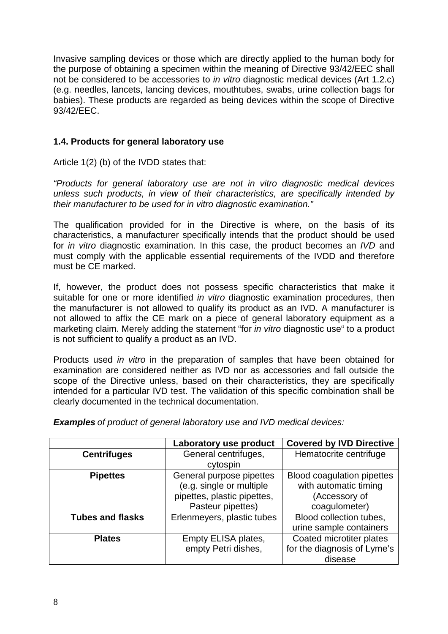Invasive sampling devices or those which are directly applied to the human body for the purpose of obtaining a specimen within the meaning of Directive 93/42/EEC shall not be considered to be accessories to *in vitro* diagnostic medical devices (Art 1.2.c) (e.g. needles, lancets, lancing devices, mouthtubes, swabs, urine collection bags for babies). These products are regarded as being devices within the scope of Directive 93/42/EEC.

## **1.4. Products for general laboratory use**

Article 1(2) (b) of the IVDD states that:

*"Products for general laboratory use are not in vitro diagnostic medical devices unless such products, in view of their characteristics, are specifically intended by their manufacturer to be used for in vitro diagnostic examination."* 

The qualification provided for in the Directive is where, on the basis of its characteristics, a manufacturer specifically intends that the product should be used for *in vitro* diagnostic examination. In this case, the product becomes an *IVD* and must comply with the applicable essential requirements of the IVDD and therefore must be CE marked.

If, however, the product does not possess specific characteristics that make it suitable for one or more identified *in vitro* diagnostic examination procedures, then the manufacturer is not allowed to qualify its product as an IVD. A manufacturer is not allowed to affix the CE mark on a piece of general laboratory equipment as a marketing claim. Merely adding the statement "for *in vitro* diagnostic use" to a product is not sufficient to qualify a product as an IVD.

Products used *in vitro* in the preparation of samples that have been obtained for examination are considered neither as IVD nor as accessories and fall outside the scope of the Directive unless, based on their characteristics, they are specifically intended for a particular IVD test. The validation of this specific combination shall be clearly documented in the technical documentation.

*Examples of product of general laboratory use and IVD medical devices:* 

|                         | Laboratory use product      | <b>Covered by IVD Directive</b>   |
|-------------------------|-----------------------------|-----------------------------------|
| <b>Centrifuges</b>      | General centrifuges,        | Hematocrite centrifuge            |
|                         | cytospin                    |                                   |
| <b>Pipettes</b>         | General purpose pipettes    | <b>Blood coagulation pipettes</b> |
|                         | (e.g. single or multiple    | with automatic timing             |
|                         | pipettes, plastic pipettes, | (Accessory of                     |
|                         | Pasteur pipettes)           | coagulometer)                     |
| <b>Tubes and flasks</b> | Erlenmeyers, plastic tubes  | Blood collection tubes,           |
|                         |                             | urine sample containers           |
| <b>Plates</b>           | Empty ELISA plates,         | Coated microtiter plates          |
|                         | empty Petri dishes,         | for the diagnosis of Lyme's       |
|                         |                             | disease                           |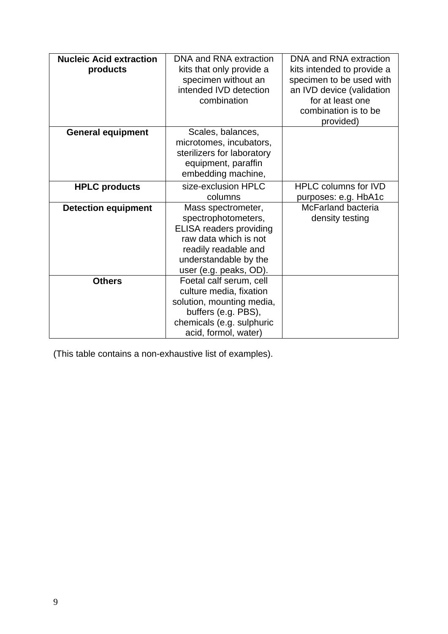| <b>Nucleic Acid extraction</b><br>products | DNA and RNA extraction<br>kits that only provide a<br>specimen without an<br>intended IVD detection<br>combination                                                              | DNA and RNA extraction<br>kits intended to provide a<br>specimen to be used with<br>an IVD device (validation<br>for at least one<br>combination is to be<br>provided) |
|--------------------------------------------|---------------------------------------------------------------------------------------------------------------------------------------------------------------------------------|------------------------------------------------------------------------------------------------------------------------------------------------------------------------|
| <b>General equipment</b>                   | Scales, balances,<br>microtomes, incubators,<br>sterilizers for laboratory<br>equipment, paraffin<br>embedding machine,                                                         |                                                                                                                                                                        |
| <b>HPLC products</b>                       | size-exclusion HPLC<br>columns                                                                                                                                                  | <b>HPLC columns for IVD</b><br>purposes: e.g. HbA1c                                                                                                                    |
| <b>Detection equipment</b>                 | Mass spectrometer,<br>spectrophotometers,<br><b>ELISA readers providing</b><br>raw data which is not<br>readily readable and<br>understandable by the<br>user (e.g. peaks, OD). | McFarland bacteria<br>density testing                                                                                                                                  |
| <b>Others</b>                              | Foetal calf serum, cell<br>culture media, fixation<br>solution, mounting media,<br>buffers (e.g. PBS),<br>chemicals (e.g. sulphuric<br>acid, formol, water)                     |                                                                                                                                                                        |

(This table contains a non-exhaustive list of examples).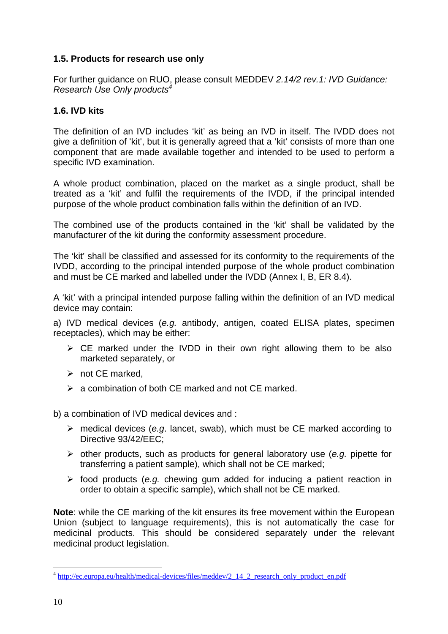## **1.5. Products for research use only**

For further guidance on RUO, please consult MEDDEV *2.14/2 rev.1: IVD Guidance: Research Use Only products4*

## **1.6. IVD kits**

The definition of an IVD includes 'kit' as being an IVD in itself. The IVDD does not give a definition of 'kit', but it is generally agreed that a 'kit' consists of more than one component that are made available together and intended to be used to perform a specific IVD examination.

A whole product combination, placed on the market as a single product, shall be treated as a 'kit' and fulfil the requirements of the IVDD, if the principal intended purpose of the whole product combination falls within the definition of an IVD.

The combined use of the products contained in the 'kit' shall be validated by the manufacturer of the kit during the conformity assessment procedure.

The 'kit' shall be classified and assessed for its conformity to the requirements of the IVDD, according to the principal intended purpose of the whole product combination and must be CE marked and labelled under the IVDD (Annex I, B, ER 8.4).

A 'kit' with a principal intended purpose falling within the definition of an IVD medical device may contain:

a) IVD medical devices (*e.g.* antibody, antigen, coated ELISA plates, specimen receptacles), which may be either:

- $\triangleright$  CE marked under the IVDD in their own right allowing them to be also marketed separately, or
- $\triangleright$  not CE marked,
- $\geq$  a combination of both CE marked and not CE marked.

b) a combination of IVD medical devices and :

- ¾ medical devices (*e.g*. lancet, swab), which must be CE marked according to Directive 93/42/EEC;
- ¾ other products, such as products for general laboratory use (*e.g.* pipette for transferring a patient sample), which shall not be CE marked;
- ¾ food products (*e.g.* chewing gum added for inducing a patient reaction in order to obtain a specific sample), which shall not be CE marked.

**Note**: while the CE marking of the kit ensures its free movement within the European Union (subject to language requirements), this is not automatically the case for medicinal products. This should be considered separately under the relevant medicinal product legislation.

1

<sup>&</sup>lt;sup>4</sup> http://ec.europa.eu/health/medical-devices/files/meddev/2\_14\_2\_research\_only\_product\_en.pdf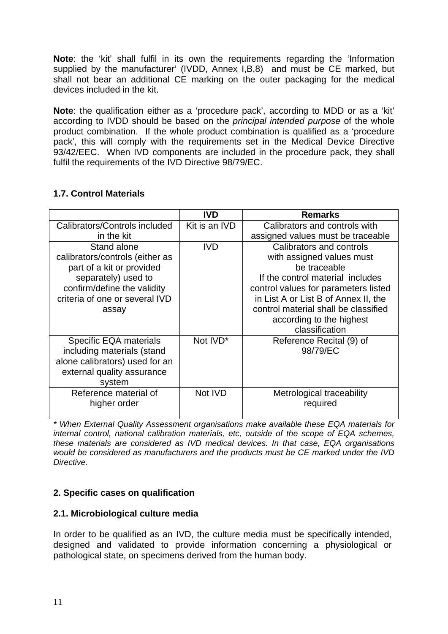**Note**: the 'kit' shall fulfil in its own the requirements regarding the 'Information supplied by the manufacturer' (IVDD, Annex I,B,8) and must be CE marked, but shall not bear an additional CE marking on the outer packaging for the medical devices included in the kit.

**Note**: the qualification either as a 'procedure pack', according to MDD or as a 'kit' according to IVDD should be based on the *principal intended purpose* of the whole product combination. If the whole product combination is qualified as a 'procedure pack', this will comply with the requirements set in the Medical Device Directive 93/42/EEC. When IVD components are included in the procedure pack, they shall fulfil the requirements of the IVD Directive 98/79/EC.

|                                 | <b>IVD</b>    | <b>Remarks</b>                       |
|---------------------------------|---------------|--------------------------------------|
| Calibrators/Controls included   | Kit is an IVD | Calibrators and controls with        |
| in the kit                      |               | assigned values must be traceable    |
| Stand alone                     | <b>IVD</b>    | Calibrators and controls             |
| calibrators/controls (either as |               | with assigned values must            |
| part of a kit or provided       |               | be traceable                         |
| separately) used to             |               | If the control material includes     |
| confirm/define the validity     |               | control values for parameters listed |
| criteria of one or several IVD  |               | in List A or List B of Annex II, the |
| assay                           |               | control material shall be classified |
|                                 |               | according to the highest             |
|                                 |               | classification                       |
| Specific EQA materials          | Not IVD*      | Reference Recital (9) of             |
| including materials (stand      |               | 98/79/EC                             |
| alone calibrators) used for an  |               |                                      |
| external quality assurance      |               |                                      |
| system                          |               |                                      |
| Reference material of           | Not IVD       | Metrological traceability            |
| higher order                    |               | required                             |
|                                 |               |                                      |

## **1.7. Control Materials**

*\* When External Quality Assessment organisations make available these EQA materials for internal control, national calibration materials, etc, outside of the scope of EQA schemes, these materials are considered as IVD medical devices. In that case, EQA organisations would be considered as manufacturers and the products must be CE marked under the IVD Directive.* 

## **2. Specific cases on qualification**

## **2.1. Microbiological culture media**

In order to be qualified as an IVD, the culture media must be specifically intended, designed and validated to provide information concerning a physiological or pathological state, on specimens derived from the human body.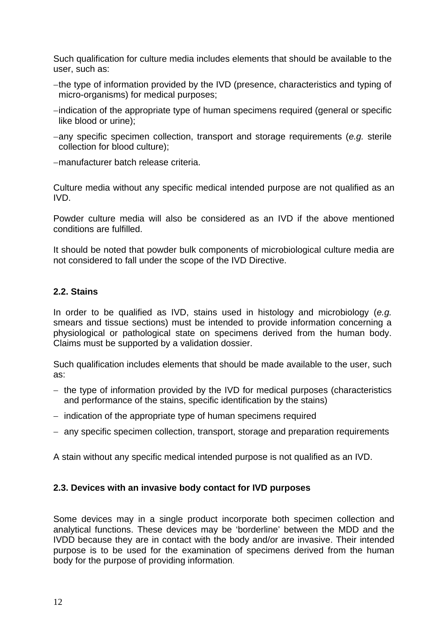Such qualification for culture media includes elements that should be available to the user, such as:

- − the type of information provided by the IVD (presence, characteristics and typing of micro-organisms) for medical purposes;
- − indication of the appropriate type of human specimens required (general or specific like blood or urine);
- − any specific specimen collection, transport and storage requirements (*e.g.* sterile collection for blood culture);
- − manufacturer batch release criteria.

Culture media without any specific medical intended purpose are not qualified as an IVD.

Powder culture media will also be considered as an IVD if the above mentioned conditions are fulfilled.

It should be noted that powder bulk components of microbiological culture media are not considered to fall under the scope of the IVD Directive.

## **2.2. Stains**

In order to be qualified as IVD, stains used in histology and microbiology (*e.g.*  smears and tissue sections) must be intended to provide information concerning a physiological or pathological state on specimens derived from the human body. Claims must be supported by a validation dossier.

Such qualification includes elements that should be made available to the user, such as:

- − the type of information provided by the IVD for medical purposes (characteristics and performance of the stains, specific identification by the stains)
- − indication of the appropriate type of human specimens required
- − any specific specimen collection, transport, storage and preparation requirements

A stain without any specific medical intended purpose is not qualified as an IVD.

## **2.3. Devices with an invasive body contact for IVD purposes**

Some devices may in a single product incorporate both specimen collection and analytical functions. These devices may be 'borderline' between the MDD and the IVDD because they are in contact with the body and/or are invasive. Their intended purpose is to be used for the examination of specimens derived from the human body for the purpose of providing information.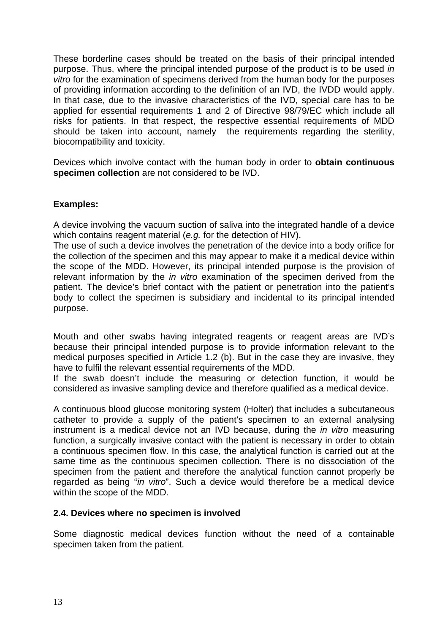These borderline cases should be treated on the basis of their principal intended purpose. Thus, where the principal intended purpose of the product is to be used *in vitro* for the examination of specimens derived from the human body for the purposes of providing information according to the definition of an IVD, the IVDD would apply. In that case, due to the invasive characteristics of the IVD, special care has to be applied for essential requirements 1 and 2 of Directive 98/79/EC which include all risks for patients. In that respect, the respective essential requirements of MDD should be taken into account, namely the requirements regarding the sterility, biocompatibility and toxicity.

Devices which involve contact with the human body in order to **obtain continuous specimen collection** are not considered to be IVD.

## **Examples:**

A device involving the vacuum suction of saliva into the integrated handle of a device which contains reagent material (*e.g.* for the detection of HIV).

The use of such a device involves the penetration of the device into a body orifice for the collection of the specimen and this may appear to make it a medical device within the scope of the MDD. However, its principal intended purpose is the provision of relevant information by the *in vitro* examination of the specimen derived from the patient. The device's brief contact with the patient or penetration into the patient's body to collect the specimen is subsidiary and incidental to its principal intended purpose.

Mouth and other swabs having integrated reagents or reagent areas are IVD's because their principal intended purpose is to provide information relevant to the medical purposes specified in Article 1.2 (b). But in the case they are invasive, they have to fulfil the relevant essential requirements of the MDD.

If the swab doesn't include the measuring or detection function, it would be considered as invasive sampling device and therefore qualified as a medical device.

A continuous blood glucose monitoring system (Holter) that includes a subcutaneous catheter to provide a supply of the patient's specimen to an external analysing instrument is a medical device not an IVD because, during the *in vitro* measuring function, a surgically invasive contact with the patient is necessary in order to obtain a continuous specimen flow. In this case, the analytical function is carried out at the same time as the continuous specimen collection. There is no dissociation of the specimen from the patient and therefore the analytical function cannot properly be regarded as being "*in vitro*". Such a device would therefore be a medical device within the scope of the MDD.

#### **2.4. Devices where no specimen is involved**

Some diagnostic medical devices function without the need of a containable specimen taken from the patient.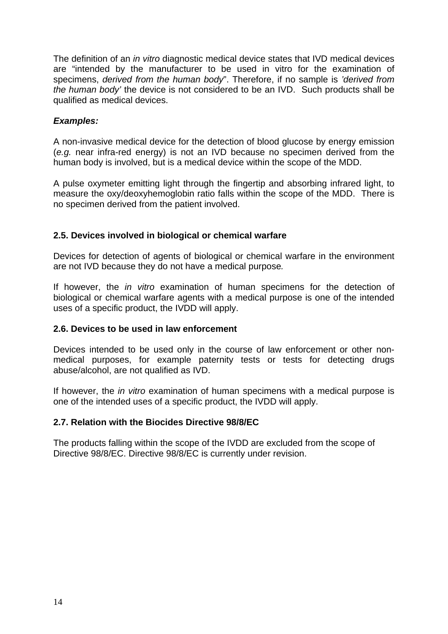The definition of an *in vitro* diagnostic medical device states that IVD medical devices are "intended by the manufacturer to be used in vitro for the examination of specimens, *derived from the human body*". Therefore, if no sample is *'derived from the human body'* the device is not considered to be an IVD. Such products shall be qualified as medical devices.

## *Examples:*

A non-invasive medical device for the detection of blood glucose by energy emission (*e.g.* near infra-red energy) is not an IVD because no specimen derived from the human body is involved, but is a medical device within the scope of the MDD.

A pulse oxymeter emitting light through the fingertip and absorbing infrared light, to measure the oxy/deoxyhemoglobin ratio falls within the scope of the MDD. There is no specimen derived from the patient involved.

## **2.5. Devices involved in biological or chemical warfare**

Devices for detection of agents of biological or chemical warfare in the environment are not IVD because they do not have a medical purpose*.* 

If however, the *in vitro* examination of human specimens for the detection of biological or chemical warfare agents with a medical purpose is one of the intended uses of a specific product, the IVDD will apply.

#### **2.6. Devices to be used in law enforcement**

Devices intended to be used only in the course of law enforcement or other nonmedical purposes, for example paternity tests or tests for detecting drugs abuse/alcohol, are not qualified as IVD.

If however, the *in vitro* examination of human specimens with a medical purpose is one of the intended uses of a specific product, the IVDD will apply.

#### **2.7. Relation with the Biocides Directive 98/8/EC**

The products falling within the scope of the IVDD are excluded from the scope of Directive 98/8/EC. Directive 98/8/EC is currently under revision.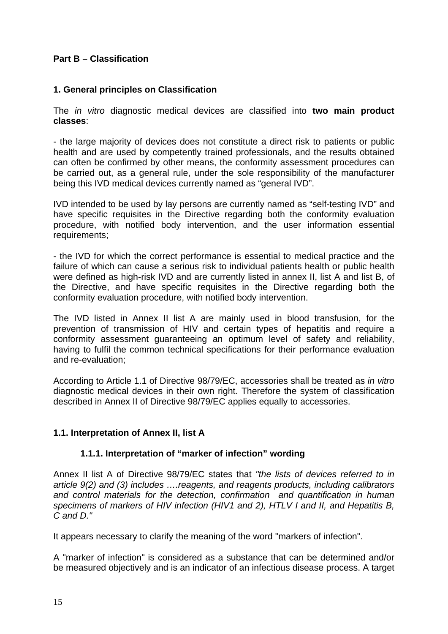## **Part B – Classification**

## **1. General principles on Classification**

The *in vitro* diagnostic medical devices are classified into **two main product classes**:

- the large majority of devices does not constitute a direct risk to patients or public health and are used by competently trained professionals, and the results obtained can often be confirmed by other means, the conformity assessment procedures can be carried out, as a general rule, under the sole responsibility of the manufacturer being this IVD medical devices currently named as "general IVD".

IVD intended to be used by lay persons are currently named as "self-testing IVD" and have specific requisites in the Directive regarding both the conformity evaluation procedure, with notified body intervention, and the user information essential requirements;

- the IVD for which the correct performance is essential to medical practice and the failure of which can cause a serious risk to individual patients health or public health were defined as high-risk IVD and are currently listed in annex II, list A and list B, of the Directive, and have specific requisites in the Directive regarding both the conformity evaluation procedure, with notified body intervention.

The IVD listed in Annex II list A are mainly used in blood transfusion, for the prevention of transmission of HIV and certain types of hepatitis and require a conformity assessment guaranteeing an optimum level of safety and reliability, having to fulfil the common technical specifications for their performance evaluation and re-evaluation;

According to Article 1.1 of Directive 98/79/EC, accessories shall be treated as *in vitro*  diagnostic medical devices in their own right. Therefore the system of classification described in Annex II of Directive 98/79/EC applies equally to accessories.

## **1.1. Interpretation of Annex II, list A**

#### **1.1.1. Interpretation of "marker of infection" wording**

Annex II list A of Directive 98/79/EC states that *"the lists of devices referred to in article 9(2) and (3) includes ….reagents, and reagents products, including calibrators and control materials for the detection, confirmation and quantification in human specimens of markers of HIV infection (HIV1 and 2), HTLV I and II, and Hepatitis B, C and D."* 

It appears necessary to clarify the meaning of the word "markers of infection".

A "marker of infection" is considered as a substance that can be determined and/or be measured objectively and is an indicator of an infectious disease process. A target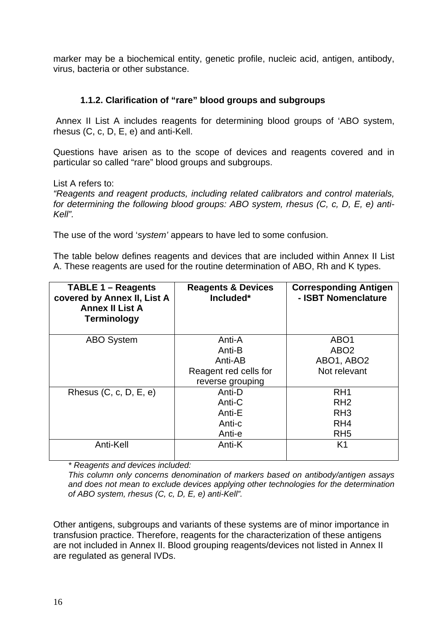marker may be a biochemical entity, genetic profile, nucleic acid, antigen, antibody, virus, bacteria or other substance.

## **1.1.2. Clarification of "rare" blood groups and subgroups**

 Annex II List A includes reagents for determining blood groups of 'ABO system, rhesus (C, c, D, E, e) and anti-Kell.

Questions have arisen as to the scope of devices and reagents covered and in particular so called "rare" blood groups and subgroups.

List A refers to:

*"Reagents and reagent products, including related calibrators and control materials, for determining the following blood groups: ABO system, rhesus (C, c, D, E, e) anti-Kell".* 

The use of the word '*system'* appears to have led to some confusion.

The table below defines reagents and devices that are included within Annex II List A. These reagents are used for the routine determination of ABO, Rh and K types.

| <b>TABLE 1 – Reagents</b><br>covered by Annex II, List A<br><b>Annex II List A</b><br><b>Terminology</b> | <b>Reagents &amp; Devices</b><br>Included* | <b>Corresponding Antigen</b><br>- ISBT Nomenclature |
|----------------------------------------------------------------------------------------------------------|--------------------------------------------|-----------------------------------------------------|
| <b>ABO System</b>                                                                                        | Anti-A                                     | ABO <sub>1</sub>                                    |
|                                                                                                          | Anti-B                                     | ABO <sub>2</sub>                                    |
|                                                                                                          | Anti-AB                                    | ABO1, ABO2                                          |
|                                                                                                          | Reagent red cells for                      | Not relevant                                        |
|                                                                                                          | reverse grouping                           |                                                     |
| Rhesus $(C, c, D, E, e)$                                                                                 | Anti-D                                     | RH <sub>1</sub>                                     |
|                                                                                                          | Anti-C                                     | RH <sub>2</sub>                                     |
|                                                                                                          | Anti-E                                     | RH <sub>3</sub>                                     |
|                                                                                                          | Anti-c                                     | RH <sub>4</sub>                                     |
|                                                                                                          | Anti-e                                     | RH <sub>5</sub>                                     |
| Anti-Kell                                                                                                | Anti-K                                     | K <sub>1</sub>                                      |

*\* Reagents and devices included:* 

*This column only concerns denomination of markers based on antibody/antigen assays and does not mean to exclude devices applying other technologies for the determination of ABO system, rhesus (C, c, D, E, e) anti-Kell".* 

Other antigens, subgroups and variants of these systems are of minor importance in transfusion practice. Therefore, reagents for the characterization of these antigens are not included in Annex II. Blood grouping reagents/devices not listed in Annex II are regulated as general IVDs.